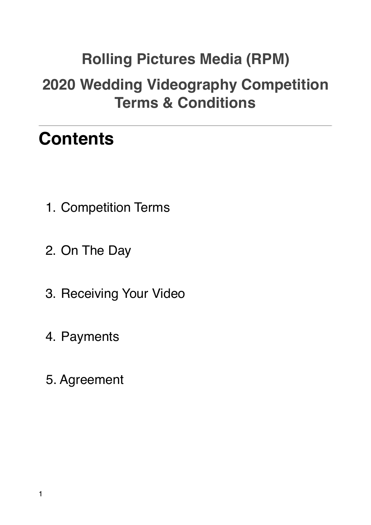# **Rolling Pictures Media (RPM) 2020 Wedding Videography Competition Terms & Conditions**

## **Contents**

- 1. Competition Terms
- 2. On The Day
- 3. Receiving Your Video
- 4. Payments
- 5. Agreement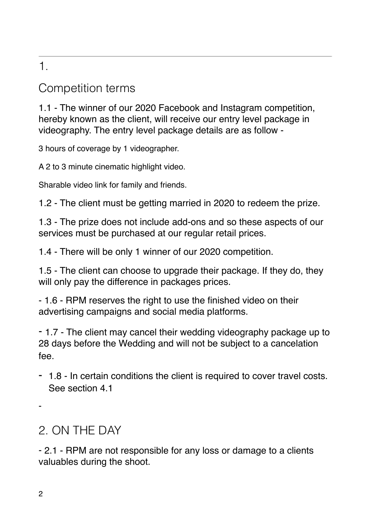### 1.

#### Competition terms

1.1 - The winner of our 2020 Facebook and Instagram competition, hereby known as the client, will receive our entry level package in videography. The entry level package details are as follow -

3 hours of coverage by 1 videographer.

A 2 to 3 minute cinematic highlight video.

Sharable video link for family and friends.

1.2 - The client must be getting married in 2020 to redeem the prize.

1.3 - The prize does not include add-ons and so these aspects of our services must be purchased at our regular retail prices.

1.4 - There will be only 1 winner of our 2020 competition.

1.5 - The client can choose to upgrade their package. If they do, they will only pay the difference in packages prices.

- 1.6 - RPM reserves the right to use the finished video on their advertising campaigns and social media platforms.

- 1.7 - The client may cancel their wedding videography package up to 28 days before the Wedding and will not be subject to a cancelation fee.

- 1.8 - In certain conditions the client is required to cover travel costs. See section 4.1

-

## 2. ON THE DAY

- 2.1 - RPM are not responsible for any loss or damage to a clients valuables during the shoot.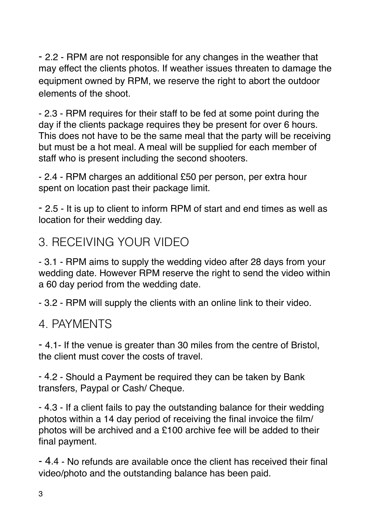- 2.2 - RPM are not responsible for any changes in the weather that may effect the clients photos. If weather issues threaten to damage the equipment owned by RPM, we reserve the right to abort the outdoor elements of the shoot.

- 2.3 - RPM requires for their staff to be fed at some point during the day if the clients package requires they be present for over 6 hours. This does not have to be the same meal that the party will be receiving but must be a hot meal. A meal will be supplied for each member of staff who is present including the second shooters.

- 2.4 - RPM charges an additional £50 per person, per extra hour spent on location past their package limit.

- 2.5 - It is up to client to inform RPM of start and end times as well as location for their wedding day.

### 3. RECEIVING YOUR VIDEO

- 3.1 - RPM aims to supply the wedding video after 28 days from your wedding date. However RPM reserve the right to send the video within a 60 day period from the wedding date.

- 3.2 - RPM will supply the clients with an online link to their video.

#### 4. PAYMENTS

- 4.1- If the venue is greater than 30 miles from the centre of Bristol, the client must cover the costs of travel.

- 4.2 - Should a Payment be required they can be taken by Bank transfers, Paypal or Cash/ Cheque.

- 4.3 - If a client fails to pay the outstanding balance for their wedding photos within a 14 day period of receiving the final invoice the film/ photos will be archived and a £100 archive fee will be added to their final payment.

- 4.4 - No refunds are available once the client has received their final video/photo and the outstanding balance has been paid.